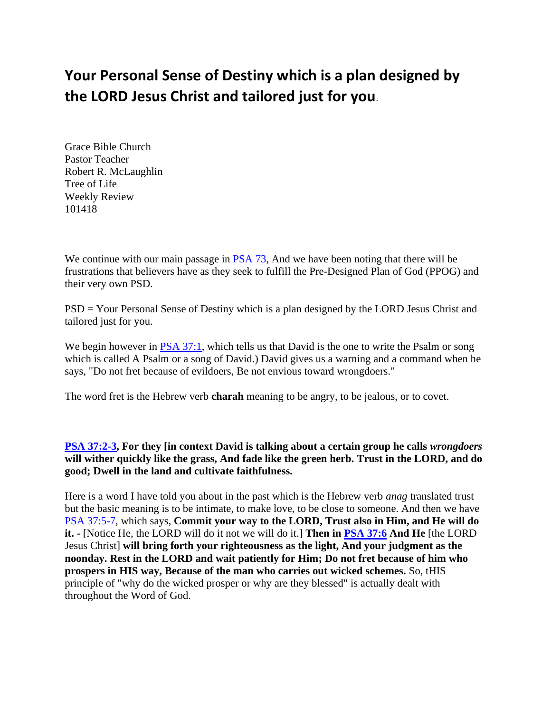# **Your Personal Sense of Destiny which is a plan designed by the LORD Jesus Christ and tailored just for you**.

Grace Bible Church Pastor Teacher Robert R. McLaughlin Tree of Life Weekly Review 101418

We continue with our main passage in **PSA 73**, And we have been noting that there will be frustrations that believers have as they seek to fulfill the Pre-Designed Plan of God (PPOG) and their very own PSD.

PSD = Your Personal Sense of Destiny which is a plan designed by the LORD Jesus Christ and tailored just for you.

We begin however in [PSA 37:1,](https://www.bibleserver.com/text/NIV/Psalm37%3A1) which tells us that David is the one to write the Psalm or song which is called A Psalm or a song of David.) David gives us a warning and a command when he says, "Do not fret because of evildoers, Be not envious toward wrongdoers."

The word fret is the Hebrew verb **charah** meaning to be angry, to be jealous, or to covet.

**[PSA 37:2-3,](https://www.bibleserver.com/text/NIV/Psalm37%3A2-3) For they [in context David is talking about a certain group he calls** *wrongdoers* **will wither quickly like the grass, And fade like the green herb. Trust in the LORD, and do good; Dwell in the land and cultivate faithfulness.**

Here is a word I have told you about in the past which is the Hebrew verb *anag* translated trust but the basic meaning is to be intimate, to make love, to be close to someone. And then we have [PSA 37:5-7,](https://www.bibleserver.com/text/NIV/Psalm37%3A5-7) which says, **Commit your way to the LORD, Trust also in Him, and He will do it. -** [Notice He, the LORD will do it not we will do it.] **Then in [PSA 37:6](https://www.bibleserver.com/text/NIV/Psalm37%3A6) And He** [the LORD Jesus Christ] **will bring forth your righteousness as the light, And your judgment as the noonday. Rest in the LORD and wait patiently for Him; Do not fret because of him who prospers in HIS way, Because of the man who carries out wicked schemes.** So, tHIS principle of "why do the wicked prosper or why are they blessed" is actually dealt with throughout the Word of God.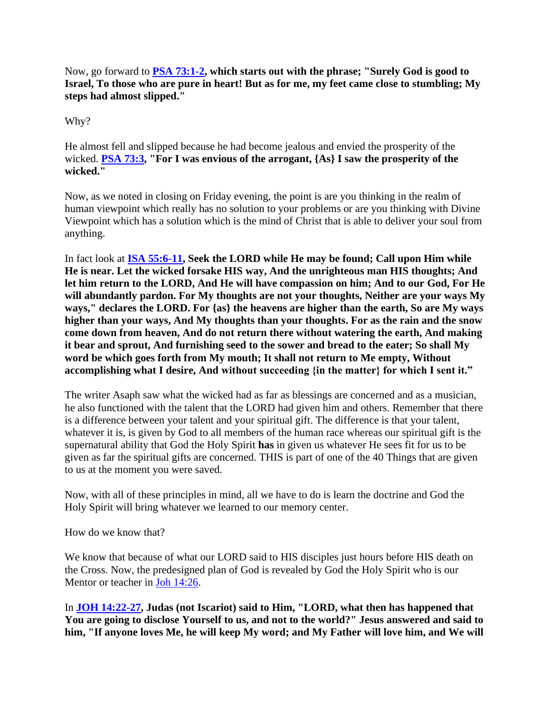# Now, go forward to **[PSA 73:1-2,](https://www.bibleserver.com/text/NIV/Psalm73%3A1-2) which starts out with the phrase; "Surely God is good to Israel, To those who are pure in heart! But as for me, my feet came close to stumbling; My steps had almost slipped."**

Why?

He almost fell and slipped because he had become jealous and envied the prosperity of the wicked. **[PSA 73:3,](https://www.bibleserver.com/text/NIV/Psalm73%3A3) "For I was envious of the arrogant, {As} I saw the prosperity of the wicked."**

Now, as we noted in closing on Friday evening, the point is are you thinking in the realm of human viewpoint which really has no solution to your problems or are you thinking with Divine Viewpoint which has a solution which is the mind of Christ that is able to deliver your soul from anything.

In fact look at **[ISA 55:6-11,](https://www.bibleserver.com/text/NIV/Isaiah55%3A6-11) Seek the LORD while He may be found; Call upon Him while He is near. Let the wicked forsake HIS way, And the unrighteous man HIS thoughts; And let him return to the LORD, And He will have compassion on him; And to our God, For He will abundantly pardon. For My thoughts are not your thoughts, Neither are your ways My ways," declares the LORD. For {as} the heavens are higher than the earth, So are My ways higher than your ways, And My thoughts than your thoughts. For as the rain and the snow come down from heaven, And do not return there without watering the earth, And making it bear and sprout, And furnishing seed to the sower and bread to the eater; So shall My word be which goes forth from My mouth; It shall not return to Me empty, Without accomplishing what I desire, And without succeeding {in the matter} for which I sent it."**

The writer Asaph saw what the wicked had as far as blessings are concerned and as a musician, he also functioned with the talent that the LORD had given him and others. Remember that there is a difference between your talent and your spiritual gift. The difference is that your talent, whatever it is, is given by God to all members of the human race whereas our spiritual gift is the supernatural ability that God the Holy Spirit **has** in given us whatever He sees fit for us to be given as far the spiritual gifts are concerned. THIS is part of one of the 40 Things that are given to us at the moment you were saved.

Now, with all of these principles in mind, all we have to do is learn the doctrine and God the Holy Spirit will bring whatever we learned to our memory center.

How do we know that?

We know that because of what our LORD said to HIS disciples just hours before HIS death on the Cross. Now, the predesigned plan of God is revealed by God the Holy Spirit who is our Mentor or teacher in [Joh 14:26.](https://www.bibleserver.com/text/NIV/John14%3A26)

In **[JOH 14:22-27,](https://www.bibleserver.com/text/NIV/John14%3A22-27) Judas (not Iscariot) said to Him, "LORD, what then has happened that You are going to disclose Yourself to us, and not to the world?" Jesus answered and said to him, "If anyone loves Me, he will keep My word; and My Father will love him, and We will**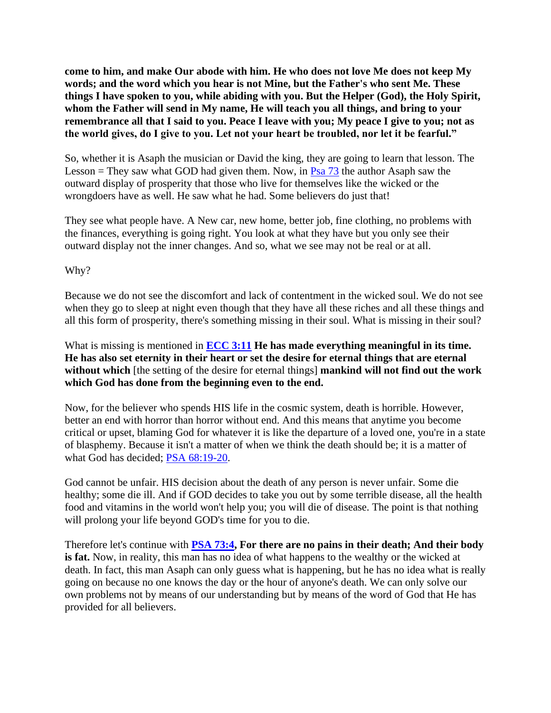**come to him, and make Our abode with him. He who does not love Me does not keep My words; and the word which you hear is not Mine, but the Father's who sent Me. These things I have spoken to you, while abiding with you. But the Helper (God), the Holy Spirit, whom the Father will send in My name, He will teach you all things, and bring to your remembrance all that I said to you. Peace I leave with you; My peace I give to you; not as the world gives, do I give to you. Let not your heart be troubled, nor let it be fearful."**

So, whether it is Asaph the musician or David the king, they are going to learn that lesson. The Lesson = They saw what GOD had given them. Now, in  $P$ sa 73 the author Asaph saw the outward display of prosperity that those who live for themselves like the wicked or the wrongdoers have as well. He saw what he had. Some believers do just that!

They see what people have. A New car, new home, better job, fine clothing, no problems with the finances, everything is going right. You look at what they have but you only see their outward display not the inner changes. And so, what we see may not be real or at all.

Why?

Because we do not see the discomfort and lack of contentment in the wicked soul. We do not see when they go to sleep at night even though that they have all these riches and all these things and all this form of prosperity, there's something missing in their soul. What is missing in their soul?

What is missing is mentioned in **[ECC 3:11](https://www.bibleserver.com/text/NIV/Ecclesiastes3%3A11) He has made everything meaningful in its time. He has also set eternity in their heart or set the desire for eternal things that are eternal without which** [the setting of the desire for eternal things] **mankind will not find out the work which God has done from the beginning even to the end.**

Now, for the believer who spends HIS life in the cosmic system, death is horrible. However, better an end with horror than horror without end. And this means that anytime you become critical or upset, blaming God for whatever it is like the departure of a loved one, you're in a state of blasphemy. Because it isn't a matter of when we think the death should be; it is a matter of what God has decided; [PSA 68:19-20.](https://www.bibleserver.com/text/NIV/Psalm68%3A19-20)

God cannot be unfair. HIS decision about the death of any person is never unfair. Some die healthy; some die ill. And if GOD decides to take you out by some terrible disease, all the health food and vitamins in the world won't help you; you will die of disease. The point is that nothing will prolong your life beyond GOD's time for you to die.

Therefore let's continue with **[PSA 73:4,](https://www.bibleserver.com/text/NIV/Psalm73%3A4) For there are no pains in their death; And their body is fat.** Now, in reality, this man has no idea of what happens to the wealthy or the wicked at death. In fact, this man Asaph can only guess what is happening, but he has no idea what is really going on because no one knows the day or the hour of anyone's death. We can only solve our own problems not by means of our understanding but by means of the word of God that He has provided for all believers.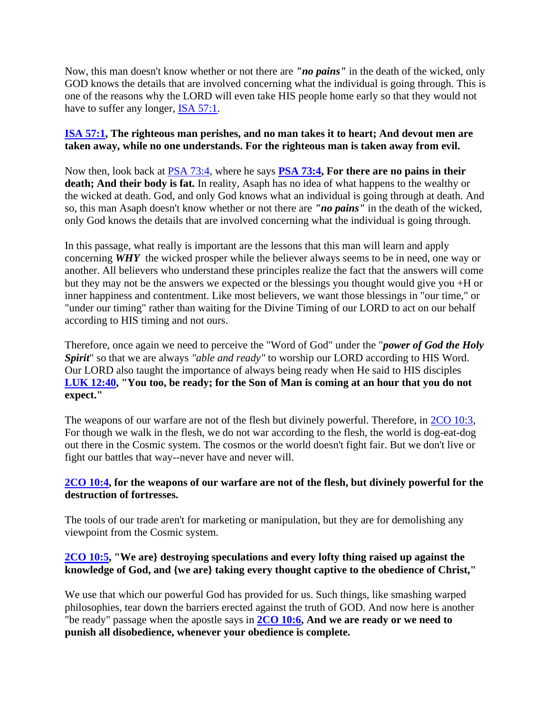Now, this man doesn't know whether or not there are *"no pains"* in the death of the wicked, only GOD knows the details that are involved concerning what the individual is going through. This is one of the reasons why the LORD will even take HIS people home early so that they would not have to suffer any longer, [ISA 57:1.](https://www.bibleserver.com/text/NIV/Isaiah57%3A1)

#### **[ISA 57:1,](https://www.bibleserver.com/text/NIV/Isaiah57%3A1) The righteous man perishes, and no man takes it to heart; And devout men are taken away, while no one understands. For the righteous man is taken away from evil.**

Now then, look back at [PSA 73:4,](https://www.bibleserver.com/text/NIV/Psalm73%3A4) where he says **[PSA 73:4,](https://www.bibleserver.com/text/NIV/Psalm73%3A4) For there are no pains in their death; And their body is fat.** In reality, Asaph has no idea of what happens to the wealthy or the wicked at death. God, and only God knows what an individual is going through at death. And so, this man Asaph doesn't know whether or not there are *"no pains"* in the death of the wicked, only God knows the details that are involved concerning what the individual is going through.

In this passage, what really is important are the lessons that this man will learn and apply concerning *WHY* the wicked prosper while the believer always seems to be in need, one way or another. All believers who understand these principles realize the fact that the answers will come but they may not be the answers we expected or the blessings you thought would give you +H or inner happiness and contentment. Like most believers, we want those blessings in "our time," or "under our timing" rather than waiting for the Divine Timing of our LORD to act on our behalf according to HIS timing and not ours.

Therefore, once again we need to perceive the "Word of God" under the "*power of God the Holy Spirit*" so that we are always *"able and ready"* to worship our LORD according to HIS Word. Our LORD also taught the importance of always being ready when He said to HIS disciples **[LUK 12:40,](https://www.bibleserver.com/text/NIV/Luke12%3A40) "You too, be ready; for the Son of Man is coming at an hour that you do not expect."**

The weapons of our warfare are not of the flesh but divinely powerful. Therefore, in [2CO 10:3,](https://www.bibleserver.com/text/NIV/2Corinthians10%3A3) For though we walk in the flesh, we do not war according to the flesh, the world is dog-eat-dog out there in the Cosmic system. The cosmos or the world doesn't fight fair. But we don't live or fight our battles that way--never have and never will.

# **[2CO 10:4,](https://www.bibleserver.com/text/NIV/2Corinthians10%3A4) for the weapons of our warfare are not of the flesh, but divinely powerful for the destruction of fortresses.**

The tools of our trade aren't for marketing or manipulation, but they are for demolishing any viewpoint from the Cosmic system.

# **[2CO 10:5,](https://www.bibleserver.com/text/NIV/2Corinthians10%3A5) "We are} destroying speculations and every lofty thing raised up against the knowledge of God, and {we are} taking every thought captive to the obedience of Christ,"**

We use that which our powerful God has provided for us. Such things, like smashing warped philosophies, tear down the barriers erected against the truth of GOD. And now here is another "be ready" passage when the apostle says in **[2CO 10:6,](https://www.bibleserver.com/text/NIV/2Corinthians10%3A6) And we are ready or we need to punish all disobedience, whenever your obedience is complete.**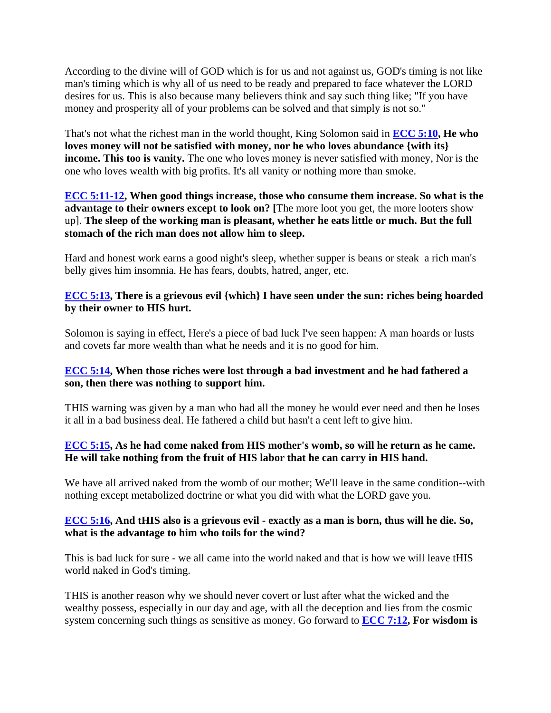According to the divine will of GOD which is for us and not against us, GOD's timing is not like man's timing which is why all of us need to be ready and prepared to face whatever the LORD desires for us. This is also because many believers think and say such thing like; "If you have money and prosperity all of your problems can be solved and that simply is not so."

That's not what the richest man in the world thought, King Solomon said in **[ECC 5:10,](https://www.bibleserver.com/text/NIV/Ecclesiastes5%3A10) He who loves money will not be satisfied with money, nor he who loves abundance {with its} income. This too is vanity.** The one who loves money is never satisfied with money, Nor is the one who loves wealth with big profits. It's all vanity or nothing more than smoke.

#### **[ECC 5:11-12,](https://www.bibleserver.com/text/NIV/Ecclesiastes5%3A11-12) When good things increase, those who consume them increase. So what is the advantage to their owners except to look on? [**The more loot you get, the more looters show up]. **The sleep of the working man is pleasant, whether he eats little or much. But the full stomach of the rich man does not allow him to sleep.**

Hard and honest work earns a good night's sleep, whether supper is beans or steak a rich man's belly gives him insomnia. He has fears, doubts, hatred, anger, etc.

#### **[ECC 5:13,](https://www.bibleserver.com/text/NIV/Ecclesiastes5%3A13) There is a grievous evil {which} I have seen under the sun: riches being hoarded by their owner to HIS hurt.**

Solomon is saying in effect, Here's a piece of bad luck I've seen happen: A man hoards or lusts and covets far more wealth than what he needs and it is no good for him.

# **[ECC](https://www.bibleserver.com/text/NIV/Ecclesiastes5%3A14) 5:14, When those riches were lost through a bad investment and he had fathered a son, then there was nothing to support him.**

THIS warning was given by a man who had all the money he would ever need and then he loses it all in a bad business deal. He fathered a child but hasn't a cent left to give him.

# **[ECC 5:15,](https://www.bibleserver.com/text/NIV/Ecclesiastes5%3A15) As he had come naked from HIS mother's womb, so will he return as he came. He will take nothing from the fruit of HIS labor that he can carry in HIS hand.**

We have all arrived naked from the womb of our mother; We'll leave in the same condition--with nothing except metabolized doctrine or what you did with what the LORD gave you.

#### **[ECC 5:16,](https://www.bibleserver.com/text/NIV/Ecclesiastes5%3A16) And tHIS also is a grievous evil - exactly as a man is born, thus will he die. So, what is the advantage to him who toils for the wind?**

This is bad luck for sure - we all came into the world naked and that is how we will leave tHIS world naked in God's timing.

THIS is another reason why we should never covert or lust after what the wicked and the wealthy possess, especially in our day and age, with all the deception and lies from the cosmic system concerning such things as sensitive as money. Go forward to **[ECC 7:12,](https://www.bibleserver.com/text/NIV/Ecclesiastes7%3A12) For wisdom is**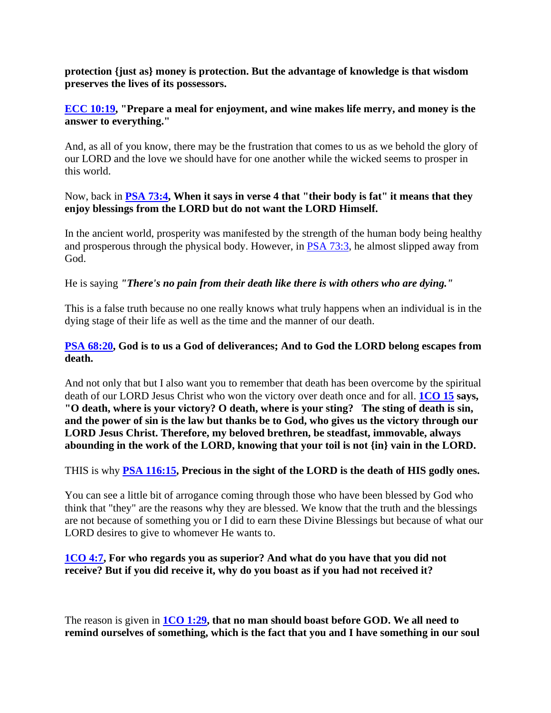**protection {just as} money is protection. But the advantage of knowledge is that wisdom preserves the lives of its possessors.**

#### **[ECC 10:19,](https://www.bibleserver.com/text/NIV/Ecclesiastes10%3A19) "Prepare a meal for enjoyment, and wine makes life merry, and money is the answer to everything."**

And, as all of you know, there may be the frustration that comes to us as we behold the glory of our LORD and the love we should have for one another while the wicked seems to prosper in this world.

#### Now, back in **[PSA 73:4,](https://www.bibleserver.com/text/NIV/Psalm73%3A4) When it says in verse 4 that "their body is fat" it means that they enjoy blessings from the LORD but do not want the LORD Himself.**

In the ancient world, prosperity was manifested by the strength of the human body being healthy and prosperous through the physical body. However, in [PSA 73:3,](https://www.bibleserver.com/text/NIV/Psalm73%3A3) he almost slipped away from God.

# He is saying *"There's no pain from their death like there is with others who are dying."*

This is a false truth because no one really knows what truly happens when an individual is in the dying stage of their life as well as the time and the manner of our death.

# **[PSA 68:20,](https://www.bibleserver.com/text/NIV/Psalm68%3A20) God is to us a God of deliverances; And to God the LORD belong escapes from death.**

And not only that but I also want you to remember that death has been overcome by the spiritual death of our LORD Jesus Christ who won the victory over death once and for all. **[1CO 15](https://www.bibleserver.com/text/NIV/1Corinthians15) says, "O death, where is your victory? O death, where is your sting? The sting of death is sin, and the power of sin is the law but thanks be to God, who gives us the victory through our LORD Jesus Christ. Therefore, my beloved brethren, be steadfast, immovable, always abounding in the work of the LORD, knowing that your toil is not {in} vain in the LORD.**

# THIS is why **[PSA 116:15,](https://www.bibleserver.com/text/NIV/Psalm116%3A15) Precious in the sight of the LORD is the death of HIS godly ones.**

You can see a little bit of arrogance coming through those who have been blessed by God who think that "they" are the reasons why they are blessed. We know that the truth and the blessings are not because of something you or I did to earn these Divine Blessings but because of what our LORD desires to give to whomever He wants to.

# **[1CO 4:7,](https://www.bibleserver.com/text/NIV/1Corinthians4%3A7) For who regards you as superior? And what do you have that you did not receive? But if you did receive it, why do you boast as if you had not received it?**

The reason is given in **[1CO 1:29,](https://www.bibleserver.com/text/NIV/1Corinthians1%3A29) that no man should boast before GOD. We all need to remind ourselves of something, which is the fact that you and I have something in our soul**